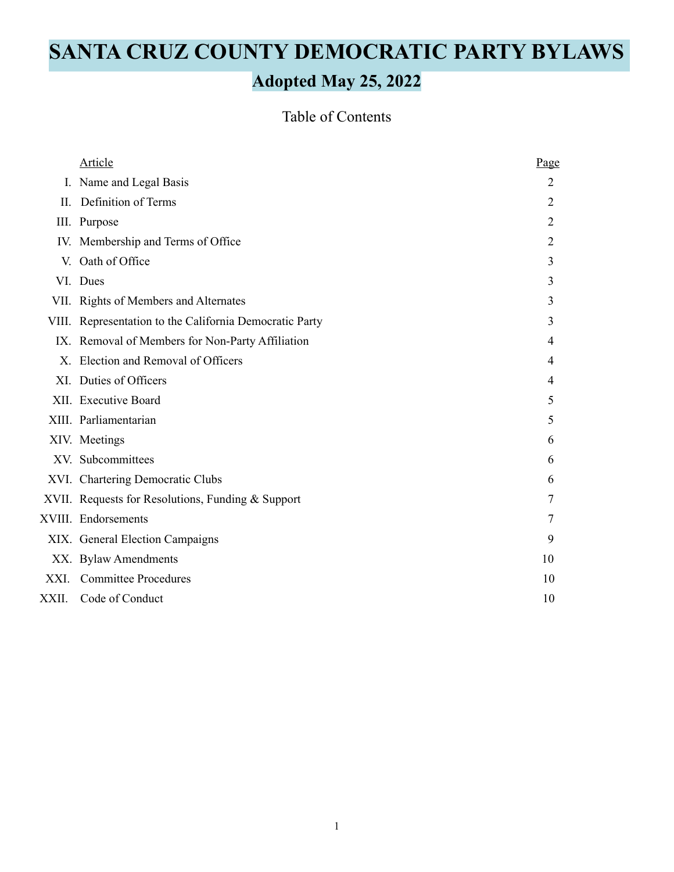# **SANTA CRUZ COUNTY DEMOCRATIC PARTY BYLAWS**

## **Adopted May 25, 2022**

### Table of Contents

|       | <b>Article</b>                                          | Page           |
|-------|---------------------------------------------------------|----------------|
|       | I. Name and Legal Basis                                 | 2              |
| П.    | Definition of Terms                                     | $\overline{2}$ |
|       | III. Purpose                                            | 2              |
|       | IV. Membership and Terms of Office                      | $\overline{2}$ |
|       | V. Oath of Office                                       | 3              |
|       | VI. Dues                                                | 3              |
|       | VII. Rights of Members and Alternates                   | 3              |
|       | VIII. Representation to the California Democratic Party | 3              |
|       | IX. Removal of Members for Non-Party Affiliation        | 4              |
| X     | Election and Removal of Officers                        | 4              |
|       | XI. Duties of Officers                                  | 4              |
|       | XII. Executive Board                                    | 5              |
|       | XIII. Parliamentarian                                   | 5              |
|       | XIV. Meetings                                           | 6              |
|       | XV. Subcommittees                                       | 6              |
|       | XVI. Chartering Democratic Clubs                        | 6              |
|       | XVII. Requests for Resolutions, Funding & Support       | 7              |
|       | XVIII. Endorsements                                     | 7              |
|       | XIX. General Election Campaigns                         | 9              |
|       | XX. Bylaw Amendments                                    | 10             |
| XXI.  | <b>Committee Procedures</b>                             | 10             |
| XXII. | Code of Conduct                                         | 10             |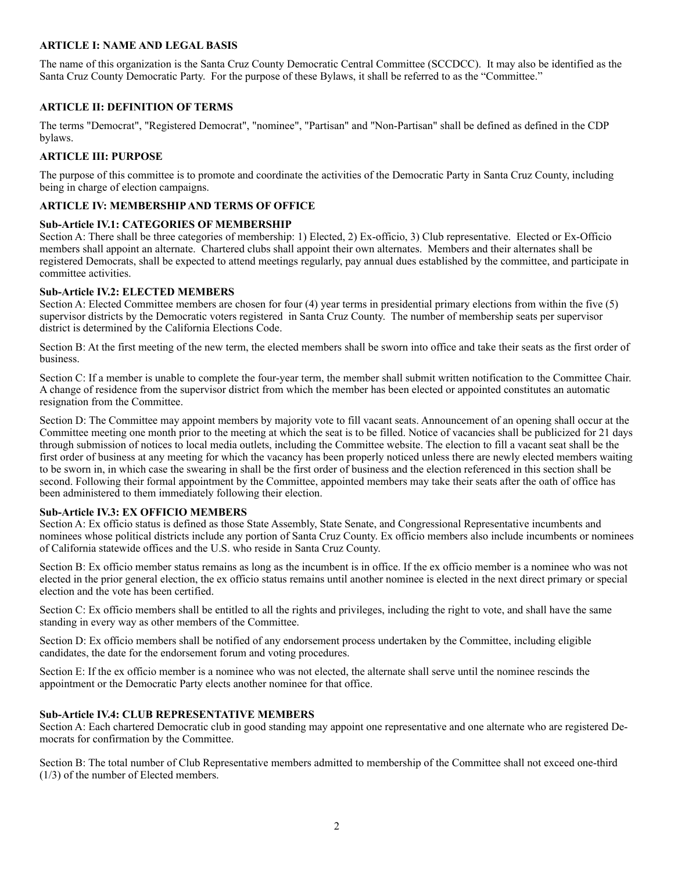#### **ARTICLE I: NAME AND LEGAL BASIS**

The name of this organization is the Santa Cruz County Democratic Central Committee (SCCDCC). It may also be identified as the Santa Cruz County Democratic Party. For the purpose of these Bylaws, it shall be referred to as the "Committee."

#### **ARTICLE II: DEFINITION OF TERMS**

The terms "Democrat", "Registered Democrat", "nominee", "Partisan" and "Non-Partisan" shall be defined as defined in the CDP bylaws.

#### **ARTICLE III: PURPOSE**

The purpose of this committee is to promote and coordinate the activities of the Democratic Party in Santa Cruz County, including being in charge of election campaigns.

#### **ARTICLE IV: MEMBERSHIP AND TERMS OF OFFICE**

#### **Sub-Article IV.1: CATEGORIES OF MEMBERSHIP**

Section A: There shall be three categories of membership: 1) Elected, 2) Ex-officio, 3) Club representative. Elected or Ex-Officio members shall appoint an alternate. Chartered clubs shall appoint their own alternates. Members and their alternates shall be registered Democrats, shall be expected to attend meetings regularly, pay annual dues established by the committee, and participate in committee activities.

#### **Sub-Article IV.2: ELECTED MEMBERS**

Section A: Elected Committee members are chosen for four (4) year terms in presidential primary elections from within the five (5) supervisor districts by the Democratic voters registered in Santa Cruz County. The number of membership seats per supervisor district is determined by the California Elections Code.

Section B: At the first meeting of the new term, the elected members shall be sworn into office and take their seats as the first order of business.

Section C: If a member is unable to complete the four-year term, the member shall submit written notification to the Committee Chair. A change of residence from the supervisor district from which the member has been elected or appointed constitutes an automatic resignation from the Committee.

Section D: The Committee may appoint members by majority vote to fill vacant seats. Announcement of an opening shall occur at the Committee meeting one month prior to the meeting at which the seat is to be filled. Notice of vacancies shall be publicized for 21 days through submission of notices to local media outlets, including the Committee website. The election to fill a vacant seat shall be the first order of business at any meeting for which the vacancy has been properly noticed unless there are newly elected members waiting to be sworn in, in which case the swearing in shall be the first order of business and the election referenced in this section shall be second. Following their formal appointment by the Committee, appointed members may take their seats after the oath of office has been administered to them immediately following their election.

#### **Sub-Article IV.3: EX OFFICIO MEMBERS**

Section A: Ex officio status is defined as those State Assembly, State Senate, and Congressional Representative incumbents and nominees whose political districts include any portion of Santa Cruz County. Ex officio members also include incumbents or nominees of California statewide offices and the U.S. who reside in Santa Cruz County.

Section B: Ex officio member status remains as long as the incumbent is in office. If the ex officio member is a nominee who was not elected in the prior general election, the ex officio status remains until another nominee is elected in the next direct primary or special election and the vote has been certified.

Section C: Ex officio members shall be entitled to all the rights and privileges, including the right to vote, and shall have the same standing in every way as other members of the Committee.

Section D: Ex officio members shall be notified of any endorsement process undertaken by the Committee, including eligible candidates, the date for the endorsement forum and voting procedures.

Section E: If the ex officio member is a nominee who was not elected, the alternate shall serve until the nominee rescinds the appointment or the Democratic Party elects another nominee for that office.

#### **Sub-Article IV.4: CLUB REPRESENTATIVE MEMBERS**

Section A: Each chartered Democratic club in good standing may appoint one representative and one alternate who are registered Democrats for confirmation by the Committee.

Section B: The total number of Club Representative members admitted to membership of the Committee shall not exceed one-third (1/3) of the number of Elected members.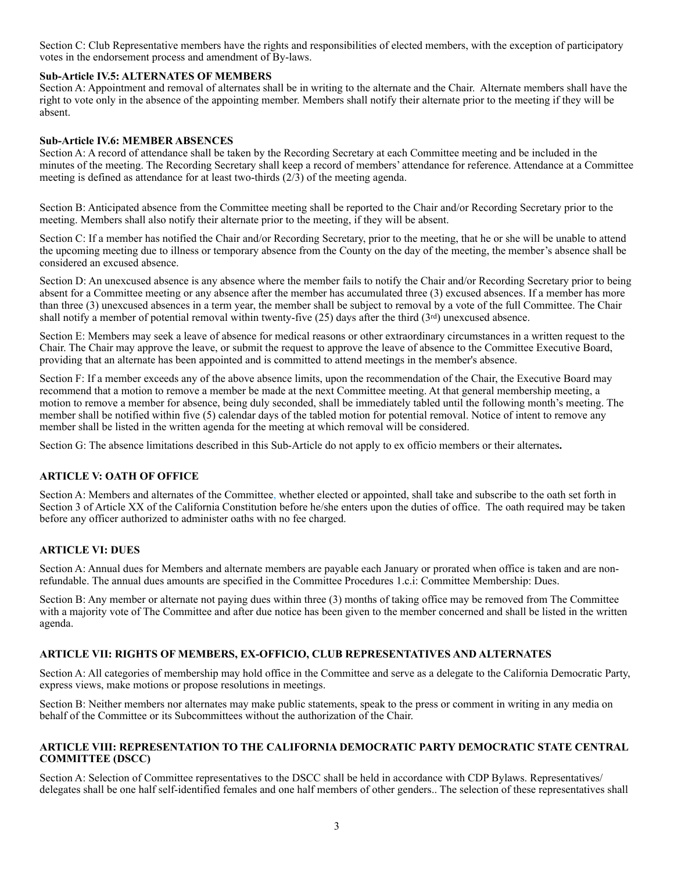Section C: Club Representative members have the rights and responsibilities of elected members, with the exception of participatory votes in the endorsement process and amendment of By-laws.

#### **Sub-Article IV.5: ALTERNATES OF MEMBERS**

Section A: Appointment and removal of alternates shall be in writing to the alternate and the Chair. Alternate members shall have the right to vote only in the absence of the appointing member. Members shall notify their alternate prior to the meeting if they will be absent.

#### **Sub-Article IV.6: MEMBER ABSENCES**

Section A: A record of attendance shall be taken by the Recording Secretary at each Committee meeting and be included in the minutes of the meeting. The Recording Secretary shall keep a record of members' attendance for reference. Attendance at a Committee meeting is defined as attendance for at least two-thirds (2/3) of the meeting agenda.

Section B: Anticipated absence from the Committee meeting shall be reported to the Chair and/or Recording Secretary prior to the meeting. Members shall also notify their alternate prior to the meeting, if they will be absent.

Section C: If a member has notified the Chair and/or Recording Secretary, prior to the meeting, that he or she will be unable to attend the upcoming meeting due to illness or temporary absence from the County on the day of the meeting, the member's absence shall be considered an excused absence.

Section D: An unexcused absence is any absence where the member fails to notify the Chair and/or Recording Secretary prior to being absent for a Committee meeting or any absence after the member has accumulated three (3) excused absences. If a member has more than three (3) unexcused absences in a term year, the member shall be subject to removal by a vote of the full Committee. The Chair shall notify a member of potential removal within twenty-five  $(25)$  days after the third  $(3<sup>rd</sup>)$  unexcused absence.

Section E: Members may seek a leave of absence for medical reasons or other extraordinary circumstances in a written request to the Chair. The Chair may approve the leave, or submit the request to approve the leave of absence to the Committee Executive Board, providing that an alternate has been appointed and is committed to attend meetings in the member's absence.

Section F: If a member exceeds any of the above absence limits, upon the recommendation of the Chair, the Executive Board may recommend that a motion to remove a member be made at the next Committee meeting. At that general membership meeting, a motion to remove a member for absence, being duly seconded, shall be immediately tabled until the following month's meeting. The member shall be notified within five (5) calendar days of the tabled motion for potential removal. Notice of intent to remove any member shall be listed in the written agenda for the meeting at which removal will be considered.

Section G: The absence limitations described in this Sub-Article do not apply to ex officio members or their alternates**.** 

#### **ARTICLE V: OATH OF OFFICE**

Section A: Members and alternates of the Committee, whether elected or appointed, shall take and subscribe to the oath set forth in Section 3 of Article XX of the California Constitution before he/she enters upon the duties of office. The oath required may be taken before any officer authorized to administer oaths with no fee charged.

#### **ARTICLE VI: DUES**

Section A: Annual dues for Members and alternate members are payable each January or prorated when office is taken and are nonrefundable. The annual dues amounts are specified in the Committee Procedures 1.c.i: Committee Membership: Dues.

Section B: Any member or alternate not paying dues within three (3) months of taking office may be removed from The Committee with a majority vote of The Committee and after due notice has been given to the member concerned and shall be listed in the written agenda.

#### **ARTICLE VII: RIGHTS OF MEMBERS, EX-OFFICIO, CLUB REPRESENTATIVES AND ALTERNATES**

Section A: All categories of membership may hold office in the Committee and serve as a delegate to the California Democratic Party, express views, make motions or propose resolutions in meetings.

Section B: Neither members nor alternates may make public statements, speak to the press or comment in writing in any media on behalf of the Committee or its Subcommittees without the authorization of the Chair.

#### **ARTICLE VIII: REPRESENTATION TO THE CALIFORNIA DEMOCRATIC PARTY DEMOCRATIC STATE CENTRAL COMMITTEE (DSCC)**

Section A: Selection of Committee representatives to the DSCC shall be held in accordance with CDP Bylaws. Representatives/ delegates shall be one half self-identified females and one half members of other genders.. The selection of these representatives shall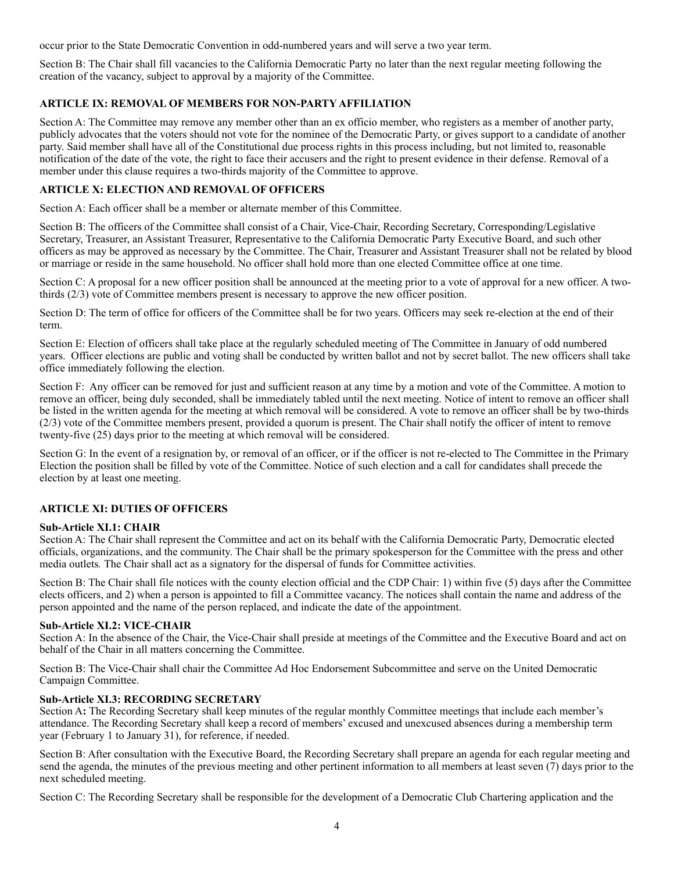occur prior to the State Democratic Convention in odd-numbered years and will serve a two year term.

Section B: The Chair shall fill vacancies to the California Democratic Party no later than the next regular meeting following the creation of the vacancy, subject to approval by a majority of the Committee.

#### **ARTICLE IX: REMOVAL OF MEMBERS FOR NON-PARTY AFFILIATION**

Section A: The Committee may remove any member other than an ex officio member, who registers as a member of another party, publicly advocates that the voters should not vote for the nominee of the Democratic Party, or gives support to a candidate of another party. Said member shall have all of the Constitutional due process rights in this process including, but not limited to, reasonable notification of the date of the vote, the right to face their accusers and the right to present evidence in their defense. Removal of a member under this clause requires a two-thirds majority of the Committee to approve.

#### **ARTICLE X: ELECTION AND REMOVAL OF OFFICERS**

Section A: Each officer shall be a member or alternate member of this Committee.

Section B: The officers of the Committee shall consist of a Chair, Vice-Chair, Recording Secretary, Corresponding/Legislative Secretary, Treasurer, an Assistant Treasurer, Representative to the California Democratic Party Executive Board, and such other officers as may be approved as necessary by the Committee. The Chair, Treasurer and Assistant Treasurer shall not be related by blood or marriage or reside in the same household. No officer shall hold more than one elected Committee office at one time.

Section C: A proposal for a new officer position shall be announced at the meeting prior to a vote of approval for a new officer. A twothirds (2/3) vote of Committee members present is necessary to approve the new officer position.

Section D: The term of office for officers of the Committee shall be for two years. Officers may seek re-election at the end of their term.

Section E: Election of officers shall take place at the regularly scheduled meeting of The Committee in January of odd numbered years. Officer elections are public and voting shall be conducted by written ballot and not by secret ballot. The new officers shall take office immediately following the election.

Section F: Any officer can be removed for just and sufficient reason at any time by a motion and vote of the Committee. A motion to remove an officer, being duly seconded, shall be immediately tabled until the next meeting. Notice of intent to remove an officer shall be listed in the written agenda for the meeting at which removal will be considered. A vote to remove an officer shall be by two-thirds (2/3) vote of the Committee members present, provided a quorum is present. The Chair shall notify the officer of intent to remove twenty-five (25) days prior to the meeting at which removal will be considered.

Section G: In the event of a resignation by, or removal of an officer, or if the officer is not re-elected to The Committee in the Primary Election the position shall be filled by vote of the Committee. Notice of such election and a call for candidates shall precede the election by at least one meeting.

#### **ARTICLE XI: DUTIES OF OFFICERS**

#### **Sub-Article XI.1: CHAIR**

Section A: The Chair shall represent the Committee and act on its behalf with the California Democratic Party, Democratic elected officials, organizations, and the community. The Chair shall be the primary spokesperson for the Committee with the press and other media outlets*.* The Chair shall act as a signatory for the dispersal of funds for Committee activities.

Section B: The Chair shall file notices with the county election official and the CDP Chair: 1) within five (5) days after the Committee elects officers, and 2) when a person is appointed to fill a Committee vacancy. The notices shall contain the name and address of the person appointed and the name of the person replaced, and indicate the date of the appointment.

#### **Sub-Article XI.2: VICE-CHAIR**

Section A: In the absence of the Chair, the Vice-Chair shall preside at meetings of the Committee and the Executive Board and act on behalf of the Chair in all matters concerning the Committee.

Section B: The Vice-Chair shall chair the Committee Ad Hoc Endorsement Subcommittee and serve on the United Democratic Campaign Committee.

#### **Sub-Article XI.3: RECORDING SECRETARY**

Section A**:** The Recording Secretary shall keep minutes of the regular monthly Committee meetings that include each member's attendance. The Recording Secretary shall keep a record of members' excused and unexcused absences during a membership term year (February 1 to January 31), for reference, if needed.

Section B: After consultation with the Executive Board, the Recording Secretary shall prepare an agenda for each regular meeting and send the agenda, the minutes of the previous meeting and other pertinent information to all members at least seven (7) days prior to the next scheduled meeting.

Section C: The Recording Secretary shall be responsible for the development of a Democratic Club Chartering application and the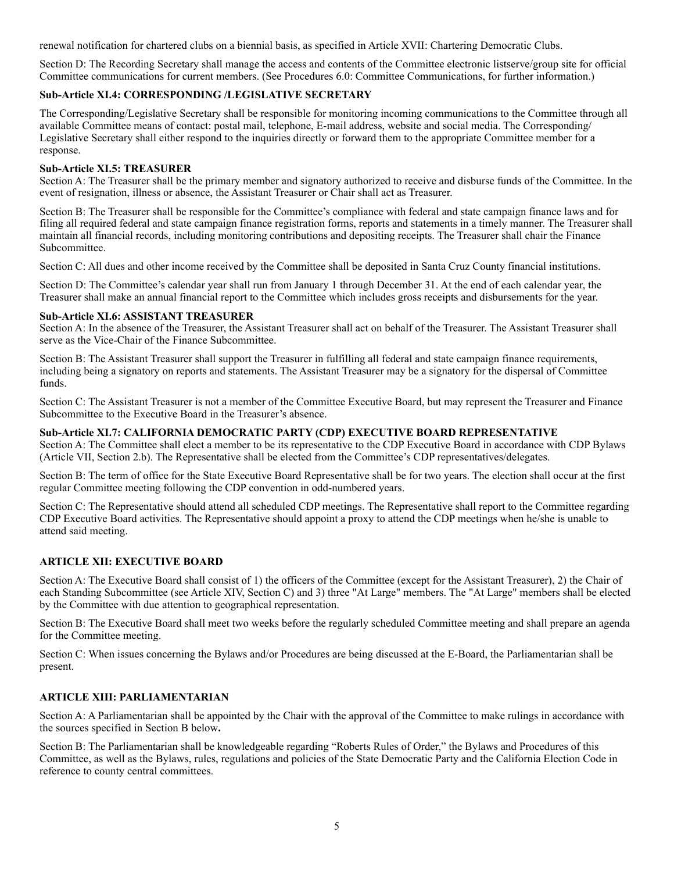renewal notification for chartered clubs on a biennial basis, as specified in Article XVII: Chartering Democratic Clubs.

Section D: The Recording Secretary shall manage the access and contents of the Committee electronic listserve/group site for official Committee communications for current members. (See Procedures 6.0: Committee Communications, for further information.)

#### **Sub-Article XI.4: CORRESPONDING /LEGISLATIVE SECRETARY**

The Corresponding/Legislative Secretary shall be responsible for monitoring incoming communications to the Committee through all available Committee means of contact: postal mail, telephone, E-mail address, website and social media. The Corresponding/ Legislative Secretary shall either respond to the inquiries directly or forward them to the appropriate Committee member for a response.

#### **Sub-Article XI.5: TREASURER**

Section A: The Treasurer shall be the primary member and signatory authorized to receive and disburse funds of the Committee. In the event of resignation, illness or absence, the Assistant Treasurer or Chair shall act as Treasurer.

Section B: The Treasurer shall be responsible for the Committee's compliance with federal and state campaign finance laws and for filing all required federal and state campaign finance registration forms, reports and statements in a timely manner. The Treasurer shall maintain all financial records, including monitoring contributions and depositing receipts. The Treasurer shall chair the Finance Subcommittee.

Section C: All dues and other income received by the Committee shall be deposited in Santa Cruz County financial institutions.

Section D: The Committee's calendar year shall run from January 1 through December 31. At the end of each calendar year, the Treasurer shall make an annual financial report to the Committee which includes gross receipts and disbursements for the year.

#### **Sub-Article XI.6: ASSISTANT TREASURER**

Section A: In the absence of the Treasurer, the Assistant Treasurer shall act on behalf of the Treasurer. The Assistant Treasurer shall serve as the Vice-Chair of the Finance Subcommittee.

Section B: The Assistant Treasurer shall support the Treasurer in fulfilling all federal and state campaign finance requirements, including being a signatory on reports and statements. The Assistant Treasurer may be a signatory for the dispersal of Committee funds.

Section C: The Assistant Treasurer is not a member of the Committee Executive Board, but may represent the Treasurer and Finance Subcommittee to the Executive Board in the Treasurer's absence.

#### **Sub-Article XI.7: CALIFORNIA DEMOCRATIC PARTY (CDP) EXECUTIVE BOARD REPRESENTATIVE**

Section A: The Committee shall elect a member to be its representative to the CDP Executive Board in accordance with CDP Bylaws (Article VII, Section 2.b). The Representative shall be elected from the Committee's CDP representatives/delegates.

Section B: The term of office for the State Executive Board Representative shall be for two years. The election shall occur at the first regular Committee meeting following the CDP convention in odd-numbered years.

Section C: The Representative should attend all scheduled CDP meetings. The Representative shall report to the Committee regarding CDP Executive Board activities. The Representative should appoint a proxy to attend the CDP meetings when he/she is unable to attend said meeting.

#### **ARTICLE XII: EXECUTIVE BOARD**

Section A: The Executive Board shall consist of 1) the officers of the Committee (except for the Assistant Treasurer), 2) the Chair of each Standing Subcommittee (see Article XIV, Section C) and 3) three "At Large" members. The "At Large" members shall be elected by the Committee with due attention to geographical representation.

Section B: The Executive Board shall meet two weeks before the regularly scheduled Committee meeting and shall prepare an agenda for the Committee meeting.

Section C: When issues concerning the Bylaws and/or Procedures are being discussed at the E-Board, the Parliamentarian shall be present.

#### **ARTICLE XIII: PARLIAMENTARIAN**

Section A: A Parliamentarian shall be appointed by the Chair with the approval of the Committee to make rulings in accordance with the sources specified in Section B below**.** 

Section B: The Parliamentarian shall be knowledgeable regarding "Roberts Rules of Order," the Bylaws and Procedures of this Committee, as well as the Bylaws, rules, regulations and policies of the State Democratic Party and the California Election Code in reference to county central committees.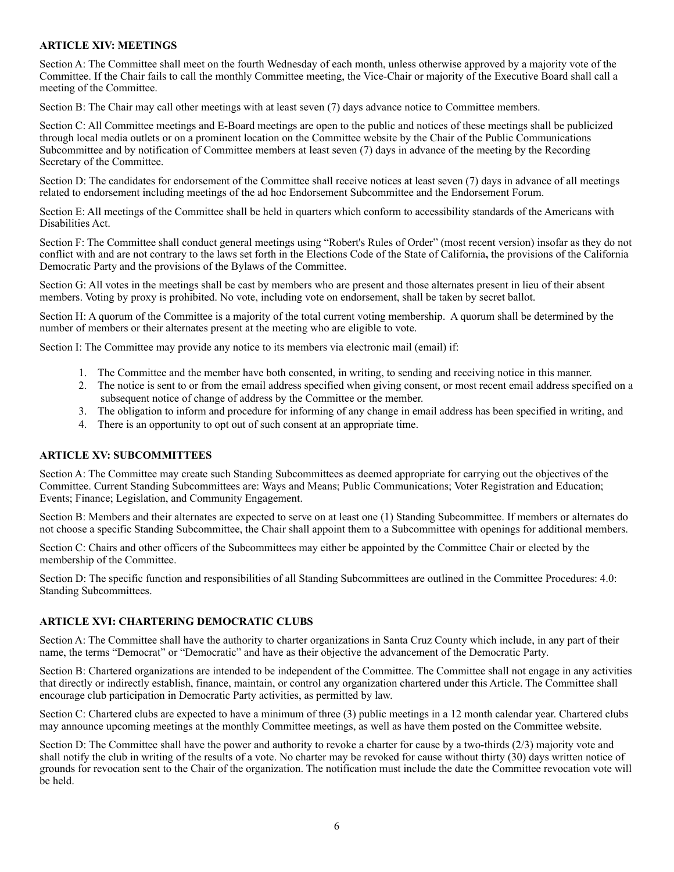#### **ARTICLE XIV: MEETINGS**

Section A: The Committee shall meet on the fourth Wednesday of each month, unless otherwise approved by a majority vote of the Committee. If the Chair fails to call the monthly Committee meeting, the Vice-Chair or majority of the Executive Board shall call a meeting of the Committee.

Section B: The Chair may call other meetings with at least seven (7) days advance notice to Committee members.

Section C: All Committee meetings and E-Board meetings are open to the public and notices of these meetings shall be publicized through local media outlets or on a prominent location on the Committee website by the Chair of the Public Communications Subcommittee and by notification of Committee members at least seven (7) days in advance of the meeting by the Recording Secretary of the Committee.

Section D: The candidates for endorsement of the Committee shall receive notices at least seven (7) days in advance of all meetings related to endorsement including meetings of the ad hoc Endorsement Subcommittee and the Endorsement Forum.

Section E: All meetings of the Committee shall be held in quarters which conform to accessibility standards of the Americans with Disabilities Act.

Section F: The Committee shall conduct general meetings using "Robert's Rules of Order" (most recent version) insofar as they do not conflict with and are not contrary to the laws set forth in the Elections Code of the State of California**,** the provisions of the California Democratic Party and the provisions of the Bylaws of the Committee.

Section G: All votes in the meetings shall be cast by members who are present and those alternates present in lieu of their absent members. Voting by proxy is prohibited. No vote, including vote on endorsement, shall be taken by secret ballot.

Section H: A quorum of the Committee is a majority of the total current voting membership. A quorum shall be determined by the number of members or their alternates present at the meeting who are eligible to vote.

Section I: The Committee may provide any notice to its members via electronic mail (email) if:

- 1. The Committee and the member have both consented, in writing, to sending and receiving notice in this manner.
- 2. The notice is sent to or from the email address specified when giving consent, or most recent email address specified on a subsequent notice of change of address by the Committee or the member.
- 3. The obligation to inform and procedure for informing of any change in email address has been specified in writing, and
- 4. There is an opportunity to opt out of such consent at an appropriate time.

#### **ARTICLE XV: SUBCOMMITTEES**

Section A: The Committee may create such Standing Subcommittees as deemed appropriate for carrying out the objectives of the Committee. Current Standing Subcommittees are: Ways and Means; Public Communications; Voter Registration and Education; Events; Finance; Legislation, and Community Engagement.

Section B: Members and their alternates are expected to serve on at least one (1) Standing Subcommittee. If members or alternates do not choose a specific Standing Subcommittee, the Chair shall appoint them to a Subcommittee with openings for additional members.

Section C: Chairs and other officers of the Subcommittees may either be appointed by the Committee Chair or elected by the membership of the Committee.

Section D: The specific function and responsibilities of all Standing Subcommittees are outlined in the Committee Procedures: 4.0: Standing Subcommittees.

#### **ARTICLE XVI: CHARTERING DEMOCRATIC CLUBS**

Section A: The Committee shall have the authority to charter organizations in Santa Cruz County which include, in any part of their name, the terms "Democrat" or "Democratic" and have as their objective the advancement of the Democratic Party*.* 

Section B: Chartered organizations are intended to be independent of the Committee. The Committee shall not engage in any activities that directly or indirectly establish, finance, maintain, or control any organization chartered under this Article. The Committee shall encourage club participation in Democratic Party activities, as permitted by law.

Section C: Chartered clubs are expected to have a minimum of three (3) public meetings in a 12 month calendar year. Chartered clubs may announce upcoming meetings at the monthly Committee meetings, as well as have them posted on the Committee website.

Section D: The Committee shall have the power and authority to revoke a charter for cause by a two-thirds (2/3) majority vote and shall notify the club in writing of the results of a vote. No charter may be revoked for cause without thirty (30) days written notice of grounds for revocation sent to the Chair of the organization. The notification must include the date the Committee revocation vote will be held.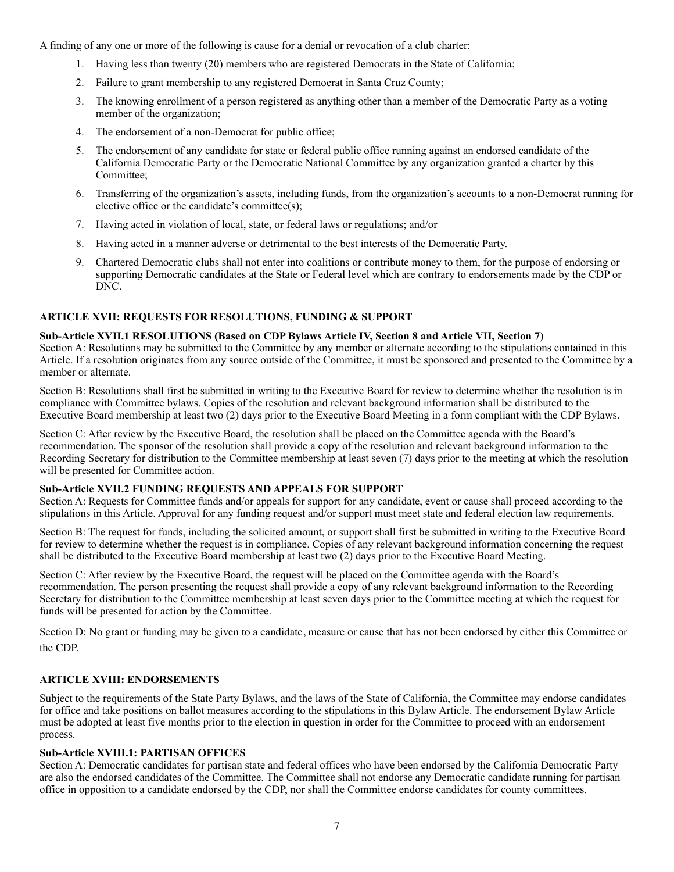A finding of any one or more of the following is cause for a denial or revocation of a club charter:

- 1. Having less than twenty (20) members who are registered Democrats in the State of California;
- 2. Failure to grant membership to any registered Democrat in Santa Cruz County;
- 3. The knowing enrollment of a person registered as anything other than a member of the Democratic Party as a voting member of the organization;
- 4. The endorsement of a non-Democrat for public office;
- 5. The endorsement of any candidate for state or federal public office running against an endorsed candidate of the California Democratic Party or the Democratic National Committee by any organization granted a charter by this Committee;
- 6. Transferring of the organization's assets, including funds, from the organization's accounts to a non-Democrat running for elective office or the candidate's committee(s);
- 7. Having acted in violation of local, state, or federal laws or regulations; and/or
- 8. Having acted in a manner adverse or detrimental to the best interests of the Democratic Party.
- 9. Chartered Democratic clubs shall not enter into coalitions or contribute money to them, for the purpose of endorsing or supporting Democratic candidates at the State or Federal level which are contrary to endorsements made by the CDP or DNC.

#### **ARTICLE XVII: REQUESTS FOR RESOLUTIONS, FUNDING & SUPPORT**

#### **Sub-Article XVII.1 RESOLUTIONS (Based on CDP Bylaws Article IV, Section 8 and Article VII, Section 7)**

Section A: Resolutions may be submitted to the Committee by any member or alternate according to the stipulations contained in this Article. If a resolution originates from any source outside of the Committee, it must be sponsored and presented to the Committee by a member or alternate.

Section B: Resolutions shall first be submitted in writing to the Executive Board for review to determine whether the resolution is in compliance with Committee bylaws. Copies of the resolution and relevant background information shall be distributed to the Executive Board membership at least two (2) days prior to the Executive Board Meeting in a form compliant with the CDP Bylaws.

Section C: After review by the Executive Board, the resolution shall be placed on the Committee agenda with the Board's recommendation. The sponsor of the resolution shall provide a copy of the resolution and relevant background information to the Recording Secretary for distribution to the Committee membership at least seven (7) days prior to the meeting at which the resolution will be presented for Committee action.

#### **Sub-Article XVII.2 FUNDING REQUESTS AND APPEALS FOR SUPPORT**

Section A: Requests for Committee funds and/or appeals for support for any candidate, event or cause shall proceed according to the stipulations in this Article. Approval for any funding request and/or support must meet state and federal election law requirements.

Section B: The request for funds, including the solicited amount, or support shall first be submitted in writing to the Executive Board for review to determine whether the request is in compliance. Copies of any relevant background information concerning the request shall be distributed to the Executive Board membership at least two (2) days prior to the Executive Board Meeting.

Section C: After review by the Executive Board, the request will be placed on the Committee agenda with the Board's recommendation. The person presenting the request shall provide a copy of any relevant background information to the Recording Secretary for distribution to the Committee membership at least seven days prior to the Committee meeting at which the request for funds will be presented for action by the Committee.

Section D: No grant or funding may be given to a candidate, measure or cause that has not been endorsed by either this Committee or the CDP.

#### **ARTICLE XVIII: ENDORSEMENTS**

Subject to the requirements of the State Party Bylaws, and the laws of the State of California, the Committee may endorse candidates for office and take positions on ballot measures according to the stipulations in this Bylaw Article. The endorsement Bylaw Article must be adopted at least five months prior to the election in question in order for the Committee to proceed with an endorsement process.

#### **Sub-Article XVIII.1: PARTISAN OFFICES**

Section A: Democratic candidates for partisan state and federal offices who have been endorsed by the California Democratic Party are also the endorsed candidates of the Committee. The Committee shall not endorse any Democratic candidate running for partisan office in opposition to a candidate endorsed by the CDP, nor shall the Committee endorse candidates for county committees.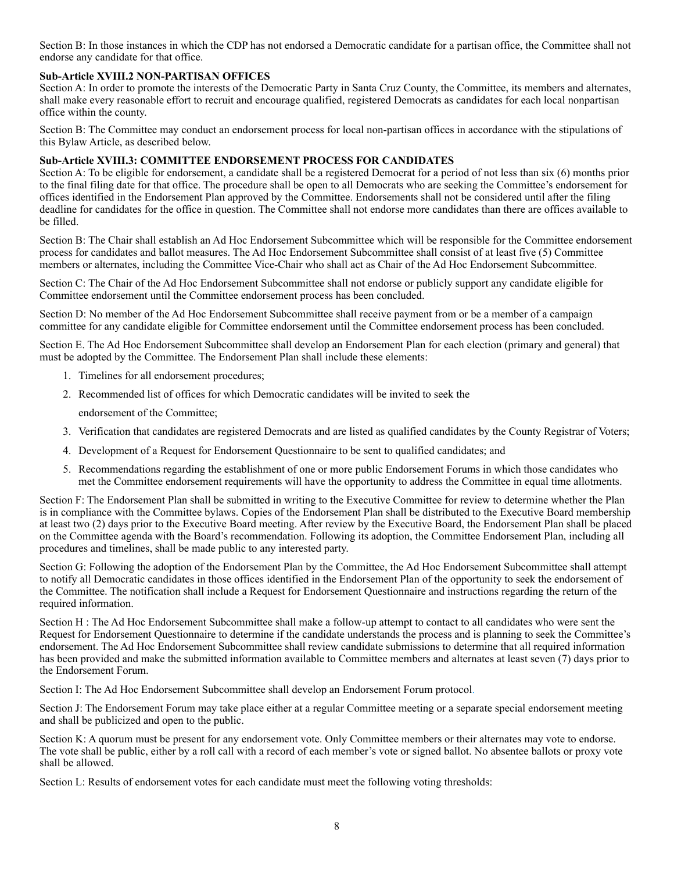Section B: In those instances in which the CDP has not endorsed a Democratic candidate for a partisan office, the Committee shall not endorse any candidate for that office.

#### **Sub-Article XVIII.2 NON-PARTISAN OFFICES**

Section A: In order to promote the interests of the Democratic Party in Santa Cruz County, the Committee, its members and alternates, shall make every reasonable effort to recruit and encourage qualified, registered Democrats as candidates for each local nonpartisan office within the county.

Section B: The Committee may conduct an endorsement process for local non-partisan offices in accordance with the stipulations of this Bylaw Article, as described below.

#### **Sub-Article XVIII.3: COMMITTEE ENDORSEMENT PROCESS FOR CANDIDATES**

Section A: To be eligible for endorsement, a candidate shall be a registered Democrat for a period of not less than six (6) months prior to the final filing date for that office. The procedure shall be open to all Democrats who are seeking the Committee's endorsement for offices identified in the Endorsement Plan approved by the Committee. Endorsements shall not be considered until after the filing deadline for candidates for the office in question. The Committee shall not endorse more candidates than there are offices available to be filled.

Section B: The Chair shall establish an Ad Hoc Endorsement Subcommittee which will be responsible for the Committee endorsement process for candidates and ballot measures. The Ad Hoc Endorsement Subcommittee shall consist of at least five (5) Committee members or alternates, including the Committee Vice-Chair who shall act as Chair of the Ad Hoc Endorsement Subcommittee.

Section C: The Chair of the Ad Hoc Endorsement Subcommittee shall not endorse or publicly support any candidate eligible for Committee endorsement until the Committee endorsement process has been concluded.

Section D: No member of the Ad Hoc Endorsement Subcommittee shall receive payment from or be a member of a campaign committee for any candidate eligible for Committee endorsement until the Committee endorsement process has been concluded.

Section E. The Ad Hoc Endorsement Subcommittee shall develop an Endorsement Plan for each election (primary and general) that must be adopted by the Committee. The Endorsement Plan shall include these elements:

- 1. Timelines for all endorsement procedures;
- 2. Recommended list of offices for which Democratic candidates will be invited to seek the

endorsement of the Committee;

- 3. Verification that candidates are registered Democrats and are listed as qualified candidates by the County Registrar of Voters;
- 4. Development of a Request for Endorsement Questionnaire to be sent to qualified candidates; and
- 5. Recommendations regarding the establishment of one or more public Endorsement Forums in which those candidates who met the Committee endorsement requirements will have the opportunity to address the Committee in equal time allotments.

Section F: The Endorsement Plan shall be submitted in writing to the Executive Committee for review to determine whether the Plan is in compliance with the Committee bylaws. Copies of the Endorsement Plan shall be distributed to the Executive Board membership at least two (2) days prior to the Executive Board meeting. After review by the Executive Board, the Endorsement Plan shall be placed on the Committee agenda with the Board's recommendation. Following its adoption, the Committee Endorsement Plan, including all procedures and timelines, shall be made public to any interested party.

Section G: Following the adoption of the Endorsement Plan by the Committee, the Ad Hoc Endorsement Subcommittee shall attempt to notify all Democratic candidates in those offices identified in the Endorsement Plan of the opportunity to seek the endorsement of the Committee. The notification shall include a Request for Endorsement Questionnaire and instructions regarding the return of the required information.

Section H : The Ad Hoc Endorsement Subcommittee shall make a follow-up attempt to contact to all candidates who were sent the Request for Endorsement Questionnaire to determine if the candidate understands the process and is planning to seek the Committee's endorsement. The Ad Hoc Endorsement Subcommittee shall review candidate submissions to determine that all required information has been provided and make the submitted information available to Committee members and alternates at least seven (7) days prior to the Endorsement Forum.

Section I: The Ad Hoc Endorsement Subcommittee shall develop an Endorsement Forum protocol.

Section J: The Endorsement Forum may take place either at a regular Committee meeting or a separate special endorsement meeting and shall be publicized and open to the public.

Section K: A quorum must be present for any endorsement vote. Only Committee members or their alternates may vote to endorse. The vote shall be public, either by a roll call with a record of each member's vote or signed ballot. No absentee ballots or proxy vote shall be allowed.

Section L: Results of endorsement votes for each candidate must meet the following voting thresholds: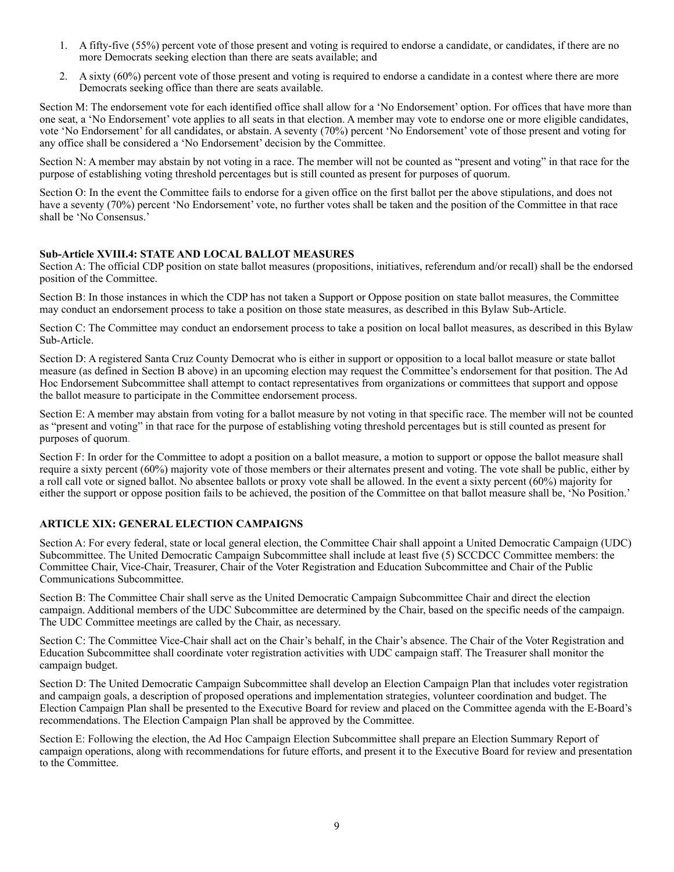- 1. A fifty-five (55%) percent vote of those present and voting is required to endorse a candidate, or candidates, if there are no more Democrats seeking election than there are seats available; and
- 2. A sixty (60%) percent vote of those present and voting is required to endorse a candidate in a contest where there are more Democrats seeking office than there are seats available.

Section M: The endorsement vote for each identified office shall allow for a 'No Endorsement' option. For offices that have more than one seat, a 'No Endorsement' vote applies to all seats in that election. A member may vote to endorse one or more eligible candidates, vote 'No Endorsement' for all candidates, or abstain. A seventy (70%) percent 'No Endorsement' vote of those present and voting for any office shall be considered a 'No Endorsement' decision by the Committee.

Section N: A member may abstain by not voting in a race. The member will not be counted as "present and voting" in that race for the purpose of establishing voting threshold percentages but is still counted as present for purposes of quorum.

Section O: In the event the Committee fails to endorse for a given office on the first ballot per the above stipulations, and does not have a seventy (70%) percent 'No Endorsement' vote, no further votes shall be taken and the position of the Committee in that race shall be 'No Consensus.'

#### **Sub-Article XVIII.4: STATE AND LOCAL BALLOT MEASURES**

Section A: The official CDP position on state ballot measures (propositions, initiatives, referendum and/or recall) shall be the endorsed position of the Committee.

Section B: In those instances in which the CDP has not taken a Support or Oppose position on state ballot measures, the Committee may conduct an endorsement process to take a position on those state measures, as described in this Bylaw Sub-Article.

Section C: The Committee may conduct an endorsement process to take a position on local ballot measures, as described in this Bylaw Sub-Article.

Section D: A registered Santa Cruz County Democrat who is either in support or opposition to a local ballot measure or state ballot measure (as defined in Section B above) in an upcoming election may request the Committee's endorsement for that position. The Ad Hoc Endorsement Subcommittee shall attempt to contact representatives from organizations or committees that support and oppose the ballot measure to participate in the Committee endorsement process.

Section E: A member may abstain from voting for a ballot measure by not voting in that specific race. The member will not be counted as "present and voting" in that race for the purpose of establishing voting threshold percentages but is still counted as present for purposes of quorum.

Section F: In order for the Committee to adopt a position on a ballot measure, a motion to support or oppose the ballot measure shall require a sixty percent (60%) majority vote of those members or their alternates present and voting. The vote shall be public, either by a roll call vote or signed ballot. No absentee ballots or proxy vote shall be allowed. In the event a sixty percent (60%) majority for either the support or oppose position fails to be achieved, the position of the Committee on that ballot measure shall be, 'No Position.'

#### **ARTICLE XIX: GENERAL ELECTION CAMPAIGNS**

Section A: For every federal, state or local general election, the Committee Chair shall appoint a United Democratic Campaign (UDC) Subcommittee. The United Democratic Campaign Subcommittee shall include at least five (5) SCCDCC Committee members: the Committee Chair, Vice-Chair, Treasurer, Chair of the Voter Registration and Education Subcommittee and Chair of the Public Communications Subcommittee.

Section B: The Committee Chair shall serve as the United Democratic Campaign Subcommittee Chair and direct the election campaign. Additional members of the UDC Subcommittee are determined by the Chair, based on the specific needs of the campaign. The UDC Committee meetings are called by the Chair, as necessary.

Section C: The Committee Vice-Chair shall act on the Chair's behalf, in the Chair's absence. The Chair of the Voter Registration and Education Subcommittee shall coordinate voter registration activities with UDC campaign staff. The Treasurer shall monitor the campaign budget.

Section D: The United Democratic Campaign Subcommittee shall develop an Election Campaign Plan that includes voter registration and campaign goals, a description of proposed operations and implementation strategies, volunteer coordination and budget. The Election Campaign Plan shall be presented to the Executive Board for review and placed on the Committee agenda with the E-Board's recommendations. The Election Campaign Plan shall be approved by the Committee.

Section E: Following the election, the Ad Hoc Campaign Election Subcommittee shall prepare an Election Summary Report of campaign operations, along with recommendations for future efforts, and present it to the Executive Board for review and presentation to the Committee.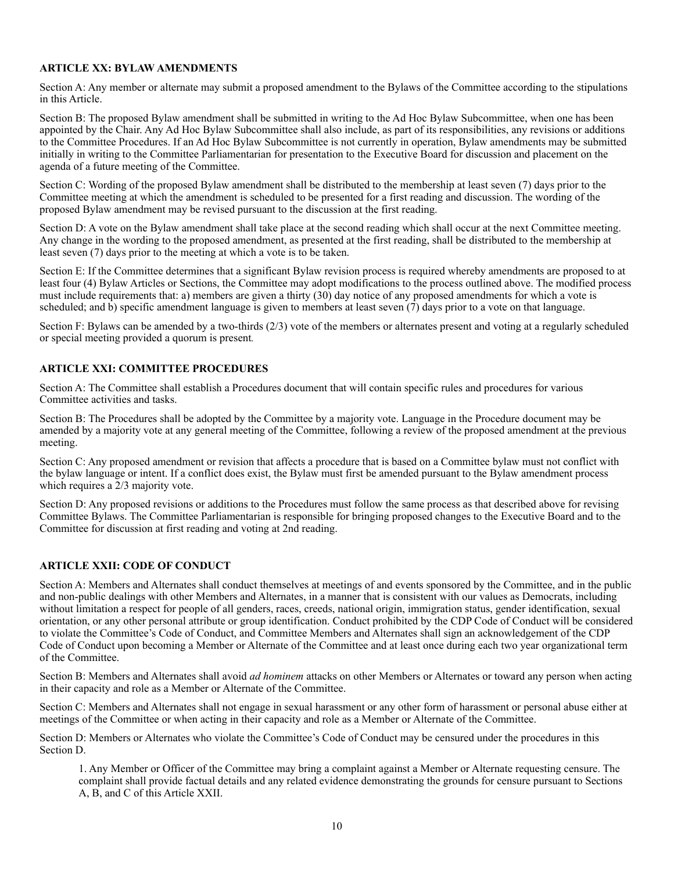#### **ARTICLE XX: BYLAW AMENDMENTS**

Section A: Any member or alternate may submit a proposed amendment to the Bylaws of the Committee according to the stipulations in this Article.

Section B: The proposed Bylaw amendment shall be submitted in writing to the Ad Hoc Bylaw Subcommittee, when one has been appointed by the Chair. Any Ad Hoc Bylaw Subcommittee shall also include, as part of its responsibilities, any revisions or additions to the Committee Procedures. If an Ad Hoc Bylaw Subcommittee is not currently in operation, Bylaw amendments may be submitted initially in writing to the Committee Parliamentarian for presentation to the Executive Board for discussion and placement on the agenda of a future meeting of the Committee.

Section C: Wording of the proposed Bylaw amendment shall be distributed to the membership at least seven (7) days prior to the Committee meeting at which the amendment is scheduled to be presented for a first reading and discussion. The wording of the proposed Bylaw amendment may be revised pursuant to the discussion at the first reading.

Section D: A vote on the Bylaw amendment shall take place at the second reading which shall occur at the next Committee meeting. Any change in the wording to the proposed amendment, as presented at the first reading, shall be distributed to the membership at least seven (7) days prior to the meeting at which a vote is to be taken.

Section E: If the Committee determines that a significant Bylaw revision process is required whereby amendments are proposed to at least four (4) Bylaw Articles or Sections, the Committee may adopt modifications to the process outlined above. The modified process must include requirements that: a) members are given a thirty (30) day notice of any proposed amendments for which a vote is scheduled; and b) specific amendment language is given to members at least seven (7) days prior to a vote on that language.

Section F: Bylaws can be amended by a two-thirds (2/3) vote of the members or alternates present and voting at a regularly scheduled or special meeting provided a quorum is present*.* 

#### **ARTICLE XXI: COMMITTEE PROCEDURES**

Section A: The Committee shall establish a Procedures document that will contain specific rules and procedures for various Committee activities and tasks.

Section B: The Procedures shall be adopted by the Committee by a majority vote. Language in the Procedure document may be amended by a majority vote at any general meeting of the Committee, following a review of the proposed amendment at the previous meeting.

Section C: Any proposed amendment or revision that affects a procedure that is based on a Committee bylaw must not conflict with the bylaw language or intent. If a conflict does exist, the Bylaw must first be amended pursuant to the Bylaw amendment process which requires a 2/3 majority vote.

Section D: Any proposed revisions or additions to the Procedures must follow the same process as that described above for revising Committee Bylaws. The Committee Parliamentarian is responsible for bringing proposed changes to the Executive Board and to the Committee for discussion at first reading and voting at 2nd reading.

#### **ARTICLE XXII: CODE OF CONDUCT**

Section A: Members and Alternates shall conduct themselves at meetings of and events sponsored by the Committee, and in the public and non-public dealings with other Members and Alternates, in a manner that is consistent with our values as Democrats, including without limitation a respect for people of all genders, races, creeds, national origin, immigration status, gender identification, sexual orientation, or any other personal attribute or group identification. Conduct prohibited by the CDP Code of Conduct will be considered to violate the Committee's Code of Conduct, and Committee Members and Alternates shall sign an acknowledgement of the CDP Code of Conduct upon becoming a Member or Alternate of the Committee and at least once during each two year organizational term of the Committee.

Section B: Members and Alternates shall avoid *ad hominem* attacks on other Members or Alternates or toward any person when acting in their capacity and role as a Member or Alternate of the Committee.

Section C: Members and Alternates shall not engage in sexual harassment or any other form of harassment or personal abuse either at meetings of the Committee or when acting in their capacity and role as a Member or Alternate of the Committee.

Section D: Members or Alternates who violate the Committee's Code of Conduct may be censured under the procedures in this Section D.

1. Any Member or Officer of the Committee may bring a complaint against a Member or Alternate requesting censure. The complaint shall provide factual details and any related evidence demonstrating the grounds for censure pursuant to Sections A, B, and C of this Article XXII.